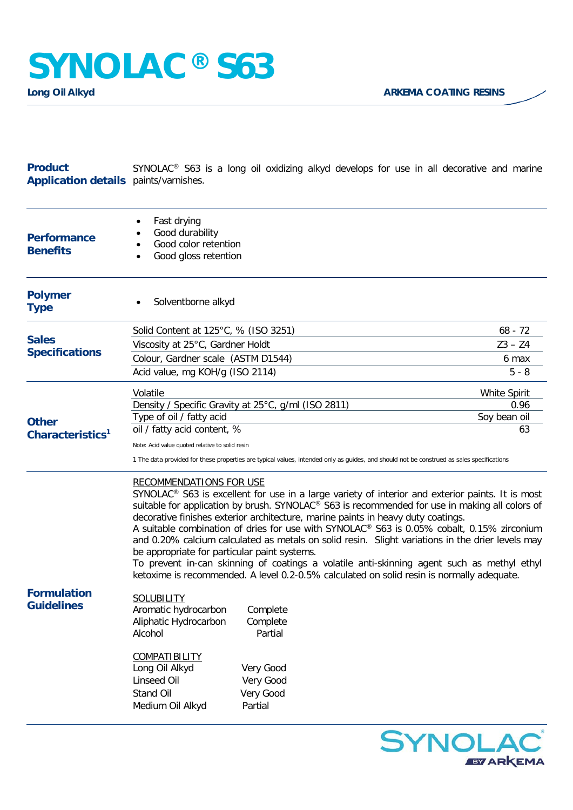## **Product Application details** paints/varnishes. SYNOLAC® S63 is a long oil oxidizing alkyd develops for use in all decorative and marine

| <b>Performance</b><br><b>Benefits</b>        | Fast drying<br>Good durability<br>Good color retention<br>Good gloss retention<br>٠                                                                                                                                                                                                                                                                                                                                                                                                                                                                                                                                                                                                                                                                                                                                                                                                                                                                                                                                                        |  |                                                                                                                                           |                                            |
|----------------------------------------------|--------------------------------------------------------------------------------------------------------------------------------------------------------------------------------------------------------------------------------------------------------------------------------------------------------------------------------------------------------------------------------------------------------------------------------------------------------------------------------------------------------------------------------------------------------------------------------------------------------------------------------------------------------------------------------------------------------------------------------------------------------------------------------------------------------------------------------------------------------------------------------------------------------------------------------------------------------------------------------------------------------------------------------------------|--|-------------------------------------------------------------------------------------------------------------------------------------------|--------------------------------------------|
| <b>Polymer</b><br><b>Type</b>                | Solventborne alkyd                                                                                                                                                                                                                                                                                                                                                                                                                                                                                                                                                                                                                                                                                                                                                                                                                                                                                                                                                                                                                         |  |                                                                                                                                           |                                            |
| <b>Sales</b><br><b>Specifications</b>        | Solid Content at 125°C, % (ISO 3251)<br>Viscosity at 25°C, Gardner Holdt<br>Colour, Gardner scale (ASTM D1544)                                                                                                                                                                                                                                                                                                                                                                                                                                                                                                                                                                                                                                                                                                                                                                                                                                                                                                                             |  |                                                                                                                                           | $68 - 72$<br>$Z3 - Z4$<br>6 max            |
|                                              | Acid value, mg KOH/g (ISO 2114)                                                                                                                                                                                                                                                                                                                                                                                                                                                                                                                                                                                                                                                                                                                                                                                                                                                                                                                                                                                                            |  |                                                                                                                                           | $5 - 8$                                    |
| <b>Other</b><br>Characteristics <sup>1</sup> | Volatile<br>Density / Specific Gravity at 25°C, g/ml (ISO 2811)<br>Type of oil / fatty acid<br>oil / fatty acid content, %<br>Note: Acid value quoted relative to solid resin                                                                                                                                                                                                                                                                                                                                                                                                                                                                                                                                                                                                                                                                                                                                                                                                                                                              |  | 1 The data provided for these properties are typical values, intended only as guides, and should not be construed as sales specifications | White Spirit<br>0.96<br>Soy bean oil<br>63 |
| <b>Formulation</b><br><b>Guidelines</b>      | <b>RECOMMENDATIONS FOR USE</b><br>SYNOLAC <sup>®</sup> S63 is excellent for use in a large variety of interior and exterior paints. It is most<br>suitable for application by brush. SYNOLAC® S63 is recommended for use in making all colors of<br>decorative finishes exterior architecture, marine paints in heavy duty coatings.<br>A suitable combination of dries for use with SYNOLAC® S63 is 0.05% cobalt, 0.15% zirconium<br>and 0.20% calcium calculated as metals on solid resin. Slight variations in the drier levels may<br>be appropriate for particular paint systems.<br>To prevent in-can skinning of coatings a volatile anti-skinning agent such as methyl ethyl<br>ketoxime is recommended. A level 0.2-0.5% calculated on solid resin is normally adequate.<br><b>SOLUBILITY</b><br>Aromatic hydrocarbon<br>Complete<br>Aliphatic Hydrocarbon<br>Complete<br>Alcohol<br>Partial<br>COMPATIBILITY<br>Long Oil Alkyd<br>Very Good<br>Linseed Oil<br>Very Good<br>Stand Oil<br>Very Good<br>Partial<br>Medium Oil Alkyd |  |                                                                                                                                           |                                            |